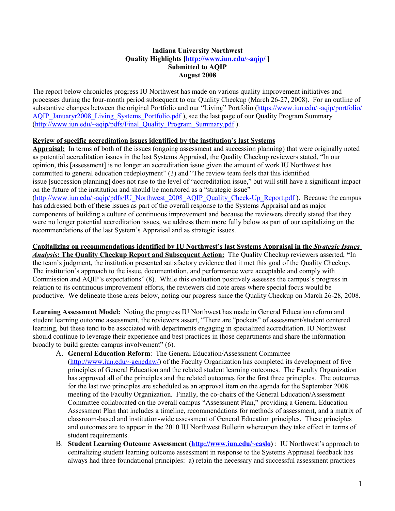## **Quality Highlights [\[http://www.iun.edu/~aqip/](http://www.iun.edu/~aqip/) ] Indiana University Northwest Submitted to AQIP August 2008**

The report below chronicles progress IU Northwest has made on various quality improvement initiatives and processes during the four-month period subsequent to our Quality Checkup (March 26-27, 2008). For an outline of substantive changes between the original Portfolio and our "Living" Portfolio (https://www.iun.edu/~aqip/portfolio/ AQIP\_Januaryr2008\_Living\_Systems\_Portfolio.pdf ), see the last page of our Quality Program Summary (http://www.iun.edu/~aqip/pdfs/Final\_Quality\_Program\_Summary.pdf).

## **Review of specific accreditation issues identified by the institution's last Systems**

Appraisal: In terms of both of the issues (ongoing assessment and succession planning) that were originally noted as potential accreditation issues in the last Systems Appraisal, the Quality Checkup reviewers stated, "In our opinion, this [assessment] is no longer an accreditation issue given the amount of work IU Northwest has committed to general education redeployment" (3) and "The review team feels that this identified issue [succession planning] does not rise to the level of "accreditation issue," but will still have a significant impact on the future of the institution and should be monitored as a "strategic issue" (http://www.iun.edu/~aqip/pdfs/IU\_N orthwest\_2008\_AQIP\_Quality\_Check-Up\_Report.pdf ). Because the campus has addressed both of these issues as part of the overall response to the Systems Appraisal and as major components of building a culture of continuous improvement and because the reviewers directly stated that they were no longer potential accreditation issues, we address them more fully below as part of our capitalizing on the recommendations of the last System's Appraisal and as strategic issues.

## **Capitalizing on recommendations identified by IU Northwest's last Systems Appraisal in the** *Strategic Issues*

*Analysis***: The Quality Checkup Report and Subsequent Action: The Quality Checkup reviewers asserted, "In** the team's judgment, the institution presented satisfactory evidence that it met this goal of the Quality Checkup. The institution's approach to the issue, documentation, and performance were acceptable and comply with Commission and AQIP's expectations" (8). While this evaluation positively assesses the campus's progress in relation to its continuous improvement efforts, the reviewers did note areas where special focus would be productive. We delineate those areas below, noting our progress since the Quality Checkup on March 26-28, 2008.

**Learning Assessment Model:** Noting the progress IU Northwest has made in General Education reform and student learning outcome assessment, the reviewers assert, "There are "pockets" of assessment/student centered learning, but these tend to be associated with departments engaging in specialized accreditation. IU Northwest should continue to leverage their experience and best practices in those departments and share the information broadly to build greater campus involvement" (6).

- A. **General Education Reform**: The General Education/Assessment Committee
	- [\(http://www.iun.edu/~genednw/\)](http://www.iun.edu/~genednw/) of the Faculty Organization has completed its development of five principles of General Education and the related student learning outcomes. The Faculty Organization has approved all of the principles and the related outcomes for the first three principles. The outcomes for the last two principles are scheduled as an approval item on the agenda for the September 2008 meeting of the Faculty Organization. Finally, the co-chairs of the General Education/Assessment Committee collaborated on the overall campus "Assessment Plan," providing a General Education Assessment Plan that includes a timeline, recommendations for methods of assessment, and a matrix of classroom-based and institution-wide assessment of General Education principles. These principles and outcomes are to appear in the 2010 IU Northwest Bulletin whereupon they take effect in terms of student requirements.
- B. Student Learning Outcome Assessment [\(http://www.iun.edu/~caslo\)](http://www.iun.edu/~caslo) : IU Northwest's approach to centralizing student learning outcome assessment in response to the Systems Appraisal feedback has always had three foundational principles: a) retain the necessary and successful assessment practices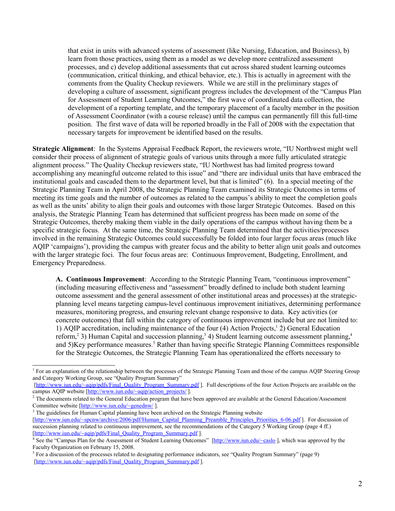that exist in units with advanced systems of assessment (like Nursing, Education, and Business), b) learn from those practices, using them as a model as we develop more centralized assessment processes, and c) develop additional assessments that cut across shared student learning outcomes (communication, critical thinking, and ethical behavior, etc.). This is actually in agreement with the comments from the Quality Checkup reviewers. While we are still in the preliminary stages of developing a culture of assessment, significant progress includes the development of the "Campus Plan for Assessment of Student Learning Outcomes," the first wave of coordinated data collection, the development of a reporting template, and the temporary placement of a faculty member in the position of Assessment Coordinator (with a course release) until the campus can permanently fill this full-time position. The first wave of data will be reported broadly in the Fall of 2008 with the expectation that necessary targets for improvement be identified based on the results.

Strategic Alignment: In the Systems Appraisal Feedback Report, the reviewers wrote, "IU Northwest might well consider their process of alignment of strategic goals of various units through a more fully articulated strategic alignment process." The Quality Checkup reviewers state, "IU Northwest has had limited progress toward accomplishing any meaningful outcome related to this issue" and "there are individual units that have embraced the institutional goals and cascaded them to the department level, but that is limited" (6). In a special meeting of the Strategic Planning Team in April 2008, the Strategic Planning Team examined its Strategic Outcomes in terms of meeting its time goals and the number of outcomes as related to the campus's ability to meet the completion goals as well as the units' ability to align their goals and outcomes with those larger Strategic Outcomes. Based on this analysis, the Strategic Planning Team has determined that sufficient progress has been made on some of the Strategic Outcomes, thereby making them viable in the daily operations of the campus without having them be a specific strategic focus. At the same time, the Strategic Planning Team determined that the activities/processes involved in the remaining Strategic Outcomes could successfully be folded into four larger focus areas (much like AQIP 'campaigns'), providing the campus with greater focus and the ability to better align unit goals and outcomes with the larger strategic foci. The four focus areas are: Continuous Improvement, Budgeting, Enrollment, and Emergency Preparedness.

A. Continuous Improvement: According to the Strategic Planning Team, "continuous improvement" (including measuring effectiveness and "assessment" broadly defined to include both student learning outcome assessment and the general assessment of other institutional areas and processes) at the strategicplanning level means targeting campus-level continuous improvement initiatives, determining performance measures, monitoring progress, and ensuring relevant change responsive to data. Key activities (or concrete outcomes) that fall within the category of continuous improvement include but are not limited to: 1) AQIP accreditation, including maintenance of the four (4) Action Projects,<sup>1</sup> 2) General Education reform,<sup>2</sup> 3) Human Capital and succession planning,<sup>3</sup> 4) Student learning outcome assessment planning,<sup>4</sup> and 5)Key performance measures.<sup>5</sup> Rather than having specific Strategic Planning Committees responsible for the Strategic Outcomes, the Strategic Planning Team has operationalized the efforts necessary to

<span id="page-1-2"></span>[http://www.iun.edu/~spcnw/archive/2006/pdf/Human\_Capital\_Planning\_Preamble\_Principles\_Priorities\_6-06.pdf ]. For discussion of succession planning related to continuous improvement, see the recommendations of the Category 5 Working Group (page 4 ff.) [http://www.iun.edu/~aqip/pdfs/Final\_Quality\_Program\_Summary.pdf].

<span id="page-1-0"></span><sup>&</sup>lt;sup>1</sup> For an explanation of the relationship between the processes of the Strategic Planning Team and those of the campus AQIP Steering Group and Category Working Group, see "Quality Program Summary"

<sup>[</sup>http://www.iun.edu/~aqip/pdfs/Final\_Quality\_Program\_Summary.pdf]. Full descriptions of the four Action Projects are available on the campus AQIP website [http://www.jun.edu/~aqip/action\_projects/] campus AQIP website [http://www.iun.edu/~aqip/action\_projects/ ].<br><sup>2</sup> The documents related to the General Education program that have been approved are available at the General Education/Assessment

<span id="page-1-1"></span>Committee website [http://www.jun.edu/~genednw/]. Committee website  $[\text{http://www.jun.edu/~generalnw/">$  ].<br><sup>3</sup> The guidelines for Human Capital planning have been archived on the Strategic Planning website

<span id="page-1-3"></span><sup>[</sup>http://www.iun.edu/~aqip/pdfs/Final\_Quality\_Program\_Summary.pdf ].<br><sup>4</sup> See the "Campus Plan for the Assessment of Student Learning Outcomes" [http://www.iun.edu/~caslo], which was approved by the Faculty Organization on February 15, 2008.

<span id="page-1-4"></span><sup>&</sup>lt;sup>5</sup> For a discussion of the processes related to designating performance indicators, see "Quality Program Summary" (page 9) [http://www.iun.edu/~aqip/pdfs/Final\_Quality\_Program\_Summary.pdf].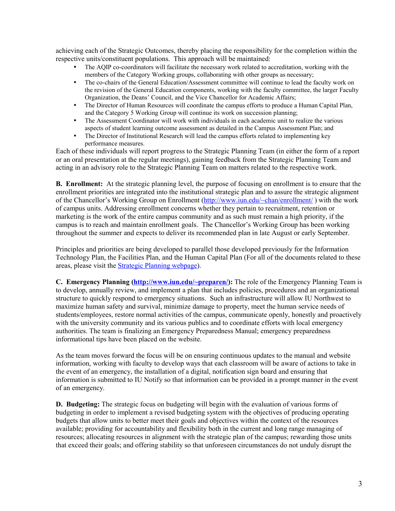achieving each of the Strategic Outcomes, thereby placing the responsibility for the completion within the respective units/constituent populations. This approach will be maintained:

- The AQIP co-coordinators will facilitate the necessary work related to accreditation, working with the members of the Category Working groups, collaborating with other groups as necessary;
- The co-chairs of the General Education/Assessment committee will continue to lead the faculty work on the revision of the General Education components, working with the faculty committee, the larger Faculty Organization, the Deans' Council, and the Vice Chancellor for Academic Affairs;
- The Director of Human Resources will coordinate the campus efforts to produce a Human Capital Plan, and the Category 5 Working Group will continue its work on succession planning;
- The Assessment Coordinator will work with individuals in each academic unit to realize the various aspects of student learning outcome assessment as detailed in the Campus Assessment Plan; and
- The Director of Institutional Research will lead the campus efforts related to implementing key performance measures.

Each of these individuals will report progress to the Strategic Planning Team (in either the form of a report or an oral presentation at the regular meetings), gaining feedback from the Strategic Planning Team and acting in an advisory role to the Strategic Planning Team on matters related to the respective work.

**B.** Enrollment: At the strategic planning level, the purpose of focusing on enrollment is to ensure that the enrollment priorities are integrated into the institutional strategic plan and to assure the strategic alignment of the Chancellor's Working Group on Enrollment (http://www.iun.edu/~chan/enrollment/) with the work of campus units. Addressing enrollment concerns whether they pertain to recruitment, retention or marketing is the work of the entire campus community and as such must remain a high priority, if the campus is to reach and maintain enrollment goals. The Chancellor's Working Group has been working throughout the summer and expects to deliver its recommended plan in late August or early September.

Principles and priorities are being developed to parallel those developed previously for the Information Technology Plan, the Facilities Plan, and the Human Capital Plan (For all of the documents related to these areas, please visit the **Strategic Planning webpage**).

**C. Emergency Planning [\(http://www.iun.edu/~preparen/\)](http://www.iun.edu/~preparen/):** The role of the Emergency Planning Team is to develop, annually review, and implement a plan that includes policies, procedures and an organizational structure to quickly respond to emergency situations. Such an infrastructure will allow IU Northwest to maximize human safety and survival, minimize damage to property, meet the human service needs of students/employees, restore normal activities of the campus, communicate openly, honestly and proactively with the university community and its various publics and to coordinate efforts with local emergency authorities. The team is finalizing an Emergency Preparedness Manual; emergency preparedness informational tips have been placed on the website.

As the team moves forward the focus will be on ensuring continuous updates to the manual and website information, working with faculty to develop ways that each classroom will be aware of actions to take in the event of an emergency, the installation of a digital, notification sign board and ensuring that information is submitted to IU Notify so that information can be provided in a prompt manner in the event of an emergency.

**D. Budgeting:** The strategic focus on budgeting will begin with the evaluation of various forms of budgeting in order to implement a revised budgeting system with the objectives of producing operating budgets that allow units to better meet their goals and objectives within the context of the resources available; providing for accountability and flexibility both in the current and long range managing of resources; allocating resources in alignment with the strategic plan of the campus; rewarding those units that exceed their goals; and offering stability so that unforeseen circumstances do not unduly disrupt the